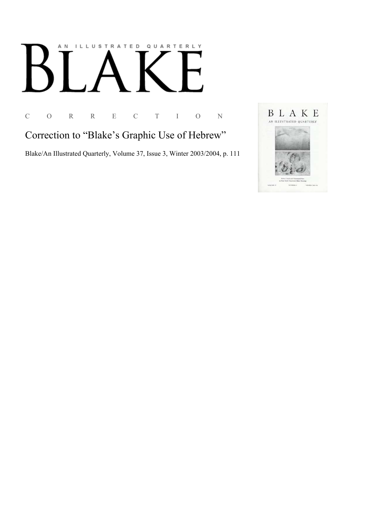## AN ILLUSTRATED QUARTERLY

C O R R E C T I O N

Correction to "Blake's Graphic Use of Hebrew"

Blake/An Illustrated Quarterly, Volume 37, Issue 3, Winter 2003/2004, p. 111